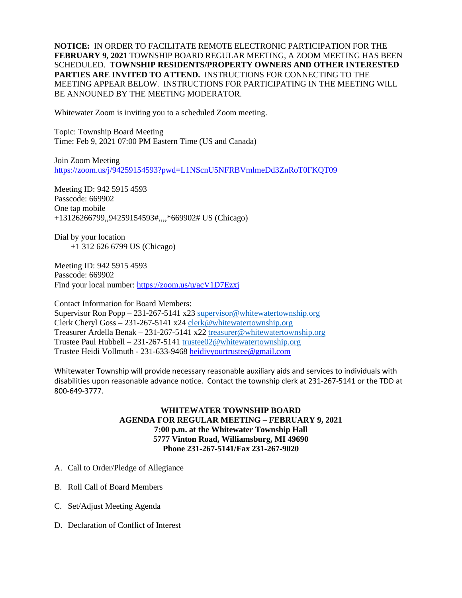**NOTICE:** IN ORDER TO FACILITATE REMOTE ELECTRONIC PARTICIPATION FOR THE **FEBRUARY 9, 2021** TOWNSHIP BOARD REGULAR MEETING, A ZOOM MEETING HAS BEEN SCHEDULED. **TOWNSHIP RESIDENTS/PROPERTY OWNERS AND OTHER INTERESTED PARTIES ARE INVITED TO ATTEND.** INSTRUCTIONS FOR CONNECTING TO THE MEETING APPEAR BELOW. INSTRUCTIONS FOR PARTICIPATING IN THE MEETING WILL BE ANNOUNED BY THE MEETING MODERATOR.

Whitewater Zoom is inviting you to a scheduled Zoom meeting.

Topic: Township Board Meeting Time: Feb 9, 2021 07:00 PM Eastern Time (US and Canada)

Join Zoom Meeting <https://zoom.us/j/94259154593?pwd=L1NScnU5NFRBVmlmeDd3ZnRoT0FKQT09>

Meeting ID: 942 5915 4593 Passcode: 669902 One tap mobile +13126266799,,94259154593#,,,,\*669902# US (Chicago)

Dial by your location +1 312 626 6799 US (Chicago)

Meeting ID: 942 5915 4593 Passcode: 669902 Find your local number:<https://zoom.us/u/acV1D7Ezxj>

Contact Information for Board Members: Supervisor Ron Popp – 231-267-5141 x23 [supervisor@whitewatertownship.org](mailto:supervisor@whitewatertownship.org) Clerk Cheryl Goss – 231-267-5141 x24 [clerk@whitewatertownship.org](mailto:clerk@whitewatertownship.org) Treasurer Ardella Benak – 231-267-5141 x22 [treasurer@whitewatertownship.org](mailto:treasurer@whitewatertownship.org) Trustee Paul Hubbell – 231-267-5141 [trustee02@whitewatertownship.org](mailto:trustee02@whitewatertownship.org) Trustee Heidi Vollmuth - 231-633-9468 [heidivyourtrustee@gmail.com](mailto:heidivyourtrustee@gmail.com)

Whitewater Township will provide necessary reasonable auxiliary aids and services to individuals with disabilities upon reasonable advance notice. Contact the township clerk at 231-267-5141 or the TDD at 800-649-3777.

## **WHITEWATER TOWNSHIP BOARD AGENDA FOR REGULAR MEETING – FEBRUARY 9, 2021 7:00 p.m. at the Whitewater Township Hall 5777 Vinton Road, Williamsburg, MI 49690 Phone 231-267-5141/Fax 231-267-9020**

- A. Call to Order/Pledge of Allegiance
- B. Roll Call of Board Members
- C. Set/Adjust Meeting Agenda
- D. Declaration of Conflict of Interest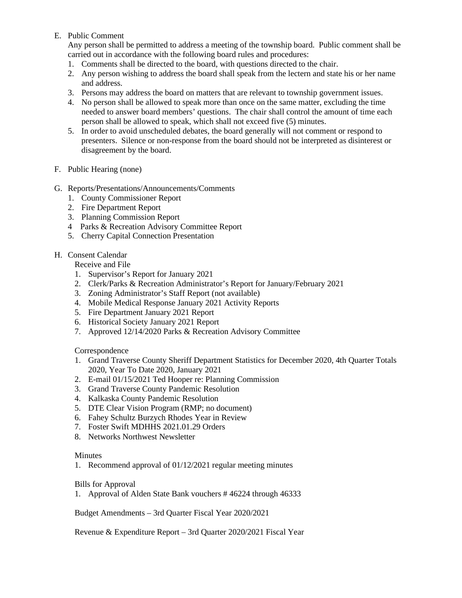## E. Public Comment

Any person shall be permitted to address a meeting of the township board. Public comment shall be carried out in accordance with the following board rules and procedures:

- 1. Comments shall be directed to the board, with questions directed to the chair.
- 2. Any person wishing to address the board shall speak from the lectern and state his or her name and address.
- 3. Persons may address the board on matters that are relevant to township government issues.
- 4. No person shall be allowed to speak more than once on the same matter, excluding the time needed to answer board members' questions. The chair shall control the amount of time each person shall be allowed to speak, which shall not exceed five (5) minutes.
- 5. In order to avoid unscheduled debates, the board generally will not comment or respond to presenters. Silence or non-response from the board should not be interpreted as disinterest or disagreement by the board.
- F. Public Hearing (none)
- G. Reports/Presentations/Announcements/Comments
	- 1. County Commissioner Report
	- 2. Fire Department Report
	- 3. Planning Commission Report
	- 4 Parks & Recreation Advisory Committee Report
	- 5. Cherry Capital Connection Presentation

## H. Consent Calendar

Receive and File

- 1. Supervisor's Report for January 2021
- 2. Clerk/Parks & Recreation Administrator's Report for January/February 2021
- 3. Zoning Administrator's Staff Report (not available)
- 4. Mobile Medical Response January 2021 Activity Reports
- 5. Fire Department January 2021 Report
- 6. Historical Society January 2021 Report
- 7. Approved 12/14/2020 Parks & Recreation Advisory Committee

Correspondence

- 1. Grand Traverse County Sheriff Department Statistics for December 2020, 4th Quarter Totals 2020, Year To Date 2020, January 2021
- 2. E-mail 01/15/2021 Ted Hooper re: Planning Commission
- 3. Grand Traverse County Pandemic Resolution
- 4. Kalkaska County Pandemic Resolution
- 5. DTE Clear Vision Program (RMP; no document)
- 6. Fahey Schultz Burzych Rhodes Year in Review
- 7. Foster Swift MDHHS 2021.01.29 Orders
- 8. Networks Northwest Newsletter

## **Minutes**

1. Recommend approval of 01/12/2021 regular meeting minutes

Bills for Approval

1. Approval of Alden State Bank vouchers # 46224 through 46333

Budget Amendments – 3rd Quarter Fiscal Year 2020/2021

Revenue & Expenditure Report – 3rd Quarter 2020/2021 Fiscal Year